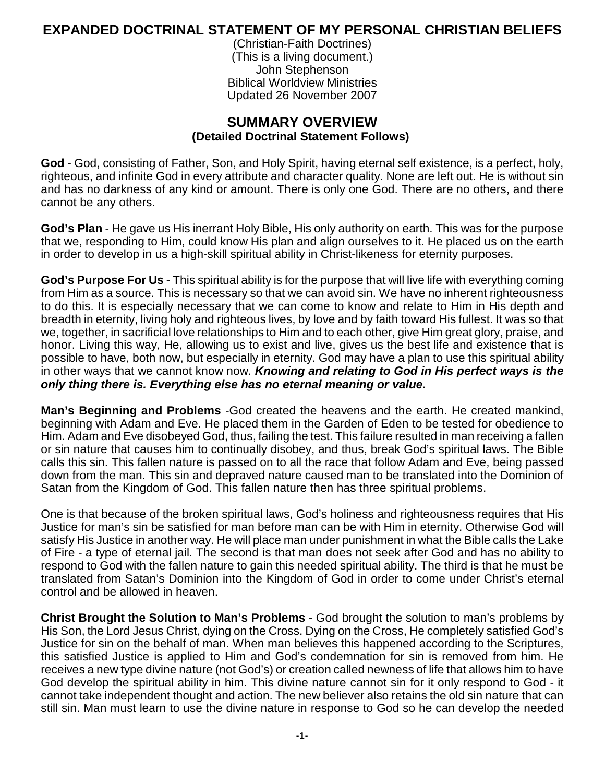## **EXPANDED DOCTRINAL STATEMENT OF MY PERSONAL CHRISTIAN BELIEFS**

(Christian-Faith Doctrines) (This is a living document.) John Stephenson Biblical Worldview Ministries Updated 26 November 2007

## **SUMMARY OVERVIEW (Detailed Doctrinal Statement Follows)**

**God** - God, consisting of Father, Son, and Holy Spirit, having eternal self existence, is a perfect, holy, righteous, and infinite God in every attribute and character quality. None are left out. He is without sin and has no darkness of any kind or amount. There is only one God. There are no others, and there cannot be any others.

**God's Plan** - He gave us His inerrant Holy Bible, His only authority on earth. This was for the purpose that we, responding to Him, could know His plan and align ourselves to it. He placed us on the earth in order to develop in us a high-skill spiritual ability in Christ-likeness for eternity purposes.

**God's Purpose For Us** - This spiritual ability is for the purpose that will live life with everything coming from Him as a source. This is necessary so that we can avoid sin. We have no inherent righteousness to do this. It is especially necessary that we can come to know and relate to Him in His depth and breadth in eternity, living holy and righteous lives, by love and by faith toward His fullest. It was so that we, together, in sacrificial love relationships to Him and to each other, give Him great glory, praise, and honor. Living this way, He, allowing us to exist and live, gives us the best life and existence that is possible to have, both now, but especially in eternity. God may have a plan to use this spiritual ability in other ways that we cannot know now. *Knowing and relating to God in His perfect ways is the only thing there is. Everything else has no eternal meaning or value.*

**Man's Beginning and Problems** -God created the heavens and the earth. He created mankind, beginning with Adam and Eve. He placed them in the Garden of Eden to be tested for obedience to Him. Adam and Eve disobeyed God, thus, failing the test. This failure resulted in man receiving a fallen or sin nature that causes him to continually disobey, and thus, break God's spiritual laws. The Bible calls this sin. This fallen nature is passed on to all the race that follow Adam and Eve, being passed down from the man. This sin and depraved nature caused man to be translated into the Dominion of Satan from the Kingdom of God. This fallen nature then has three spiritual problems.

One is that because of the broken spiritual laws, God's holiness and righteousness requires that His Justice for man's sin be satisfied for man before man can be with Him in eternity. Otherwise God will satisfy His Justice in another way. He will place man under punishment in what the Bible calls the Lake of Fire - a type of eternal jail. The second is that man does not seek after God and has no ability to respond to God with the fallen nature to gain this needed spiritual ability. The third is that he must be translated from Satan's Dominion into the Kingdom of God in order to come under Christ's eternal control and be allowed in heaven.

**Christ Brought the Solution to Man's Problems** - God brought the solution to man's problems by His Son, the Lord Jesus Christ, dying on the Cross. Dying on the Cross, He completely satisfied God's Justice for sin on the behalf of man. When man believes this happened according to the Scriptures, this satisfied Justice is applied to Him and God's condemnation for sin is removed from him. He receives a new type divine nature (not God's) or creation called newness of life that allows him to have God develop the spiritual ability in him. This divine nature cannot sin for it only respond to God - it cannot take independent thought and action. The new believer also retains the old sin nature that can still sin. Man must learn to use the divine nature in response to God so he can develop the needed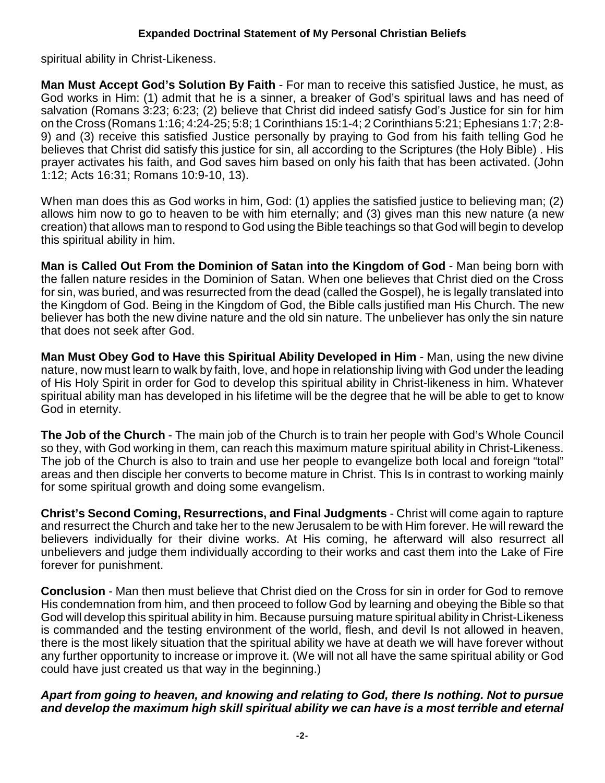spiritual ability in Christ-Likeness.

**Man Must Accept God's Solution By Faith** - For man to receive this satisfied Justice, he must, as God works in Him: (1) admit that he is a sinner, a breaker of God's spiritual laws and has need of salvation (Romans 3:23; 6:23; (2) believe that Christ did indeed satisfy God's Justice for sin for him on the Cross (Romans 1:16; 4:24-25; 5:8; 1 Corinthians 15:1-4; 2 Corinthians 5:21; Ephesians 1:7; 2:8- 9) and (3) receive this satisfied Justice personally by praying to God from his faith telling God he believes that Christ did satisfy this justice for sin, all according to the Scriptures (the Holy Bible) . His prayer activates his faith, and God saves him based on only his faith that has been activated. (John 1:12; Acts 16:31; Romans 10:9-10, 13).

When man does this as God works in him, God: (1) applies the satisfied justice to believing man; (2) allows him now to go to heaven to be with him eternally; and (3) gives man this new nature (a new creation) that allows man to respond to God using the Bible teachings so that God will begin to develop this spiritual ability in him.

**Man is Called Out From the Dominion of Satan into the Kingdom of God** - Man being born with the fallen nature resides in the Dominion of Satan. When one believes that Christ died on the Cross for sin, was buried, and was resurrected from the dead (called the Gospel), he is legally translated into the Kingdom of God. Being in the Kingdom of God, the Bible calls justified man His Church. The new believer has both the new divine nature and the old sin nature. The unbeliever has only the sin nature that does not seek after God.

**Man Must Obey God to Have this Spiritual Ability Developed in Him** - Man, using the new divine nature, now must learn to walk by faith, love, and hope in relationship living with God under the leading of His Holy Spirit in order for God to develop this spiritual ability in Christ-likeness in him. Whatever spiritual ability man has developed in his lifetime will be the degree that he will be able to get to know God in eternity.

**The Job of the Church** - The main job of the Church is to train her people with God's Whole Council so they, with God working in them, can reach this maximum mature spiritual ability in Christ-Likeness. The job of the Church is also to train and use her people to evangelize both local and foreign "total" areas and then disciple her converts to become mature in Christ. This Is in contrast to working mainly for some spiritual growth and doing some evangelism.

**Christ's Second Coming, Resurrections, and Final Judgments** - Christ will come again to rapture and resurrect the Church and take her to the new Jerusalem to be with Him forever. He will reward the believers individually for their divine works. At His coming, he afterward will also resurrect all unbelievers and judge them individually according to their works and cast them into the Lake of Fire forever for punishment.

**Conclusion** - Man then must believe that Christ died on the Cross for sin in order for God to remove His condemnation from him, and then proceed to follow God by learning and obeying the Bible so that God will develop this spiritual ability in him. Because pursuing mature spiritual ability in Christ-Likeness is commanded and the testing environment of the world, flesh, and devil Is not allowed in heaven, there is the most likely situation that the spiritual ability we have at death we will have forever without any further opportunity to increase or improve it. (We will not all have the same spiritual ability or God could have just created us that way in the beginning.)

#### *Apart from going to heaven, and knowing and relating to God, there Is nothing. Not to pursue and develop the maximum high skill spiritual ability we can have is a most terrible and eternal*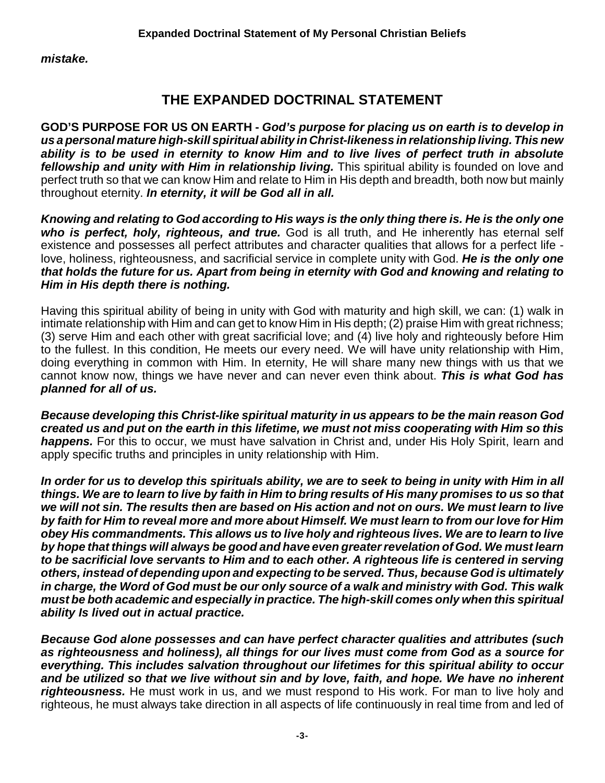*mistake.*

# **THE EXPANDED DOCTRINAL STATEMENT**

**GOD'S PURPOSE FOR US ON EARTH -** *God's purpose for placing us on earth is to develop in us a personal mature high-skill spiritual ability in Christ-likeness in relationship living. This new ability is to be used in eternity to know Him and to live lives of perfect truth in absolute fellowship and unity with Him in relationship living.* This spiritual ability is founded on love and perfect truth so that we can know Him and relate to Him in His depth and breadth, both now but mainly throughout eternity. *In eternity, it will be God all in all.*

*Knowing and relating to God according to His ways is the only thing there is. He is the only one who is perfect, holy, righteous, and true.* God is all truth, and He inherently has eternal self existence and possesses all perfect attributes and character qualities that allows for a perfect life love, holiness, righteousness, and sacrificial service in complete unity with God. *He is the only one that holds the future for us. Apart from being in eternity with God and knowing and relating to Him in His depth there is nothing.* 

Having this spiritual ability of being in unity with God with maturity and high skill, we can: (1) walk in intimate relationship with Him and can get to know Him in His depth; (2) praise Him with great richness; (3) serve Him and each other with great sacrificial love; and (4) live holy and righteously before Him to the fullest. In this condition, He meets our every need. We will have unity relationship with Him, doing everything in common with Him. In eternity, He will share many new things with us that we cannot know now, things we have never and can never even think about. *This is what God has planned for all of us.*

*Because developing this Christ-like spiritual maturity in us appears to be the main reason God created us and put on the earth in this lifetime, we must not miss cooperating with Him so this happens.* For this to occur, we must have salvation in Christ and, under His Holy Spirit, learn and apply specific truths and principles in unity relationship with Him.

*In order for us to develop this spirituals ability, we are to seek to being in unity with Him in all things. We are to learn to live by faith in Him to bring results of His many promises to us so that we will not sin. The results then are based on His action and not on ours. We must learn to live by faith for Him to reveal more and more about Himself. We must learn to from our love for Him obey His commandments. This allows us to live holy and righteous lives. We are to learn to live by hope that things will always be good and have even greater revelation of God. We must learn to be sacrificial love servants to Him and to each other. A righteous life is centered in serving others, instead of depending upon and expecting to be served. Thus, because God is ultimately in charge, the Word of God must be our only source of a walk and ministry with God. This walk must be both academic and especially in practice. The high-skill comes only when this spiritual ability Is lived out in actual practice.*

*Because God alone possesses and can have perfect character qualities and attributes (such as righteousness and holiness), all things for our lives must come from God as a source for everything. This includes salvation throughout our lifetimes for this spiritual ability to occur and be utilized so that we live without sin and by love, faith, and hope. We have no inherent righteousness.* He must work in us, and we must respond to His work. For man to live holy and righteous, he must always take direction in all aspects of life continuously in real time from and led of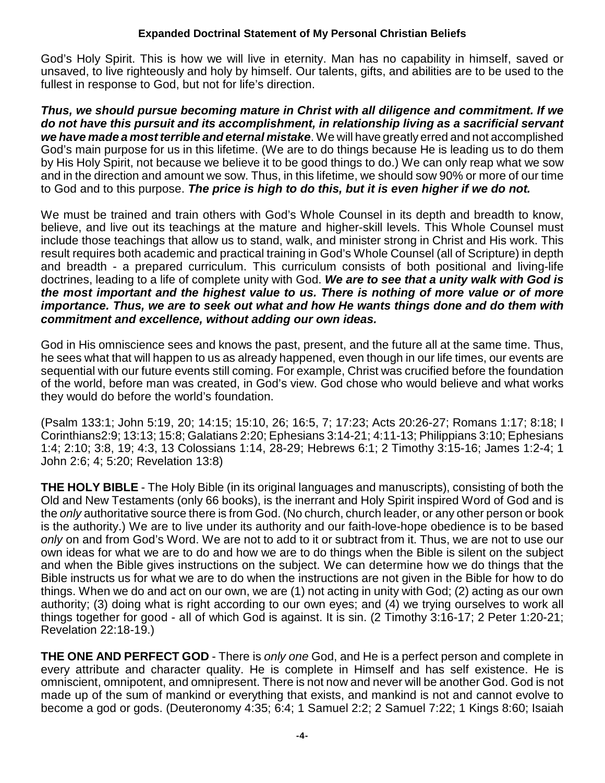God's Holy Spirit. This is how we will live in eternity. Man has no capability in himself, saved or unsaved, to live righteously and holy by himself. Our talents, gifts, and abilities are to be used to the fullest in response to God, but not for life's direction.

*Thus, we should pursue becoming mature in Christ with all diligence and commitment. If we do not have this pursuit and its accomplishment, in relationship living as a sacrificial servant we have made a most terrible and eternal mistake*. We will have greatly erred and not accomplished God's main purpose for us in this lifetime. (We are to do things because He is leading us to do them by His Holy Spirit, not because we believe it to be good things to do.) We can only reap what we sow and in the direction and amount we sow. Thus, in this lifetime, we should sow 90% or more of our time to God and to this purpose. *The price is high to do this, but it is even higher if we do not.*

We must be trained and train others with God's Whole Counsel in its depth and breadth to know, believe, and live out its teachings at the mature and higher-skill levels. This Whole Counsel must include those teachings that allow us to stand, walk, and minister strong in Christ and His work. This result requires both academic and practical training in God's Whole Counsel (all of Scripture) in depth and breadth - a prepared curriculum. This curriculum consists of both positional and living-life doctrines, leading to a life of complete unity with God. *We are to see that a unity walk with God is the most important and the highest value to us. There is nothing of more value or of more importance. Thus, we are to seek out what and how He wants things done and do them with commitment and excellence, without adding our own ideas.*

God in His omniscience sees and knows the past, present, and the future all at the same time. Thus, he sees what that will happen to us as already happened, even though in our life times, our events are sequential with our future events still coming. For example, Christ was crucified before the foundation of the world, before man was created, in God's view. God chose who would believe and what works they would do before the world's foundation.

(Psalm 133:1; John 5:19, 20; 14:15; 15:10, 26; 16:5, 7; 17:23; Acts 20:26-27; Romans 1:17; 8:18; I Corinthians2:9; 13:13; 15:8; Galatians 2:20; Ephesians 3:14-21; 4:11-13; Philippians 3:10; Ephesians 1:4; 2:10; 3:8, 19; 4:3, 13 Colossians 1:14, 28-29; Hebrews 6:1; 2 Timothy 3:15-16; James 1:2-4; 1 John 2:6; 4; 5:20; Revelation 13:8)

**THE HOLY BIBLE** - The Holy Bible (in its original languages and manuscripts), consisting of both the Old and New Testaments (only 66 books), is the inerrant and Holy Spirit inspired Word of God and is the *only* authoritative source there is from God. (No church, church leader, or any other person or book is the authority.) We are to live under its authority and our faith-love-hope obedience is to be based *only* on and from God's Word. We are not to add to it or subtract from it. Thus, we are not to use our own ideas for what we are to do and how we are to do things when the Bible is silent on the subject and when the Bible gives instructions on the subject. We can determine how we do things that the Bible instructs us for what we are to do when the instructions are not given in the Bible for how to do things. When we do and act on our own, we are (1) not acting in unity with God; (2) acting as our own authority; (3) doing what is right according to our own eyes; and (4) we trying ourselves to work all things together for good - all of which God is against. It is sin. (2 Timothy 3:16-17; 2 Peter 1:20-21; Revelation 22:18-19.)

**THE ONE AND PERFECT GOD** - There is *only one* God, and He is a perfect person and complete in every attribute and character quality. He is complete in Himself and has self existence. He is omniscient, omnipotent, and omnipresent. There is not now and never will be another God. God is not made up of the sum of mankind or everything that exists, and mankind is not and cannot evolve to become a god or gods. (Deuteronomy 4:35; 6:4; 1 Samuel 2:2; 2 Samuel 7:22; 1 Kings 8:60; Isaiah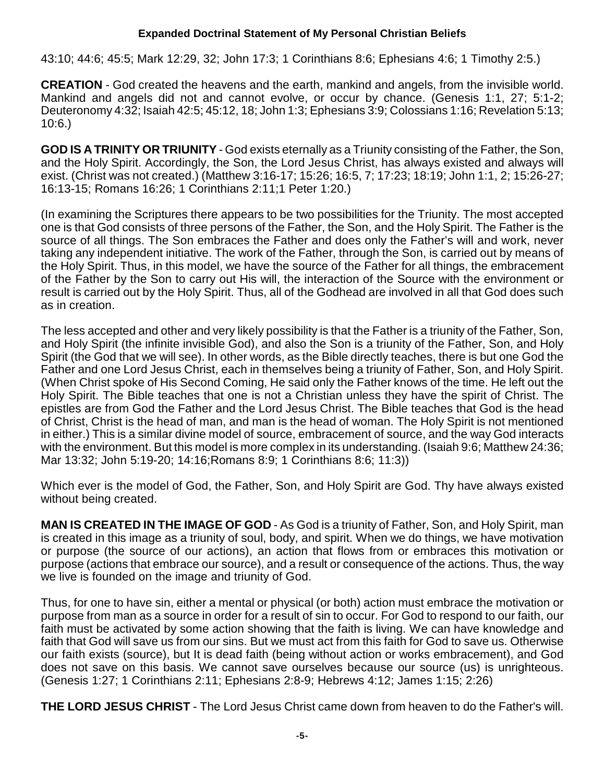43:10; 44:6; 45:5; Mark 12:29, 32; John 17:3; 1 Corinthians 8:6; Ephesians 4:6; 1 Timothy 2:5.)

**CREATION** - God created the heavens and the earth, mankind and angels, from the invisible world. Mankind and angels did not and cannot evolve, or occur by chance. (Genesis 1:1, 27; 5:1-2; Deuteronomy 4:32; Isaiah 42:5; 45:12, 18; John 1:3; Ephesians 3:9; Colossians 1:16; Revelation 5:13; 10:6.)

**GOD IS A TRINITY OR TRIUNITY** - God exists eternally as a Triunity consisting of the Father, the Son, and the Holy Spirit. Accordingly, the Son, the Lord Jesus Christ, has always existed and always will exist. (Christ was not created.) (Matthew 3:16-17; 15:26; 16:5, 7; 17:23; 18:19; John 1:1, 2; 15:26-27; 16:13-15; Romans 16:26; 1 Corinthians 2:11;1 Peter 1:20.)

(In examining the Scriptures there appears to be two possibilities for the Triunity. The most accepted one is that God consists of three persons of the Father, the Son, and the Holy Spirit. The Father is the source of all things. The Son embraces the Father and does only the Father's will and work, never taking any independent initiative. The work of the Father, through the Son, is carried out by means of the Holy Spirit. Thus, in this model, we have the source of the Father for all things, the embracement of the Father by the Son to carry out His will, the interaction of the Source with the environment or result is carried out by the Holy Spirit. Thus, all of the Godhead are involved in all that God does such as in creation.

The less accepted and other and very likely possibility is that the Father is a triunity of the Father, Son, and Holy Spirit (the infinite invisible God), and also the Son is a triunity of the Father, Son, and Holy Spirit (the God that we will see). In other words, as the Bible directly teaches, there is but one God the Father and one Lord Jesus Christ, each in themselves being a triunity of Father, Son, and Holy Spirit. (When Christ spoke of His Second Coming, He said only the Father knows of the time. He left out the Holy Spirit. The Bible teaches that one is not a Christian unless they have the spirit of Christ. The epistles are from God the Father and the Lord Jesus Christ. The Bible teaches that God is the head of Christ, Christ is the head of man, and man is the head of woman. The Holy Spirit is not mentioned in either.) This is a similar divine model of source, embracement of source, and the way God interacts with the environment. But this model is more complex in its understanding. (Isaiah 9:6; Matthew 24:36; Mar 13:32; John 5:19-20; 14:16;Romans 8:9; 1 Corinthians 8:6; 11:3))

Which ever is the model of God, the Father, Son, and Holy Spirit are God. Thy have always existed without being created.

**MAN IS CREATED IN THE IMAGE OF GOD** - As God is a triunity of Father, Son, and Holy Spirit, man is created in this image as a triunity of soul, body, and spirit. When we do things, we have motivation or purpose (the source of our actions), an action that flows from or embraces this motivation or purpose (actions that embrace our source), and a result or consequence of the actions. Thus, the way we live is founded on the image and triunity of God.

Thus, for one to have sin, either a mental or physical (or both) action must embrace the motivation or purpose from man as a source in order for a result of sin to occur. For God to respond to our faith, our faith must be activated by some action showing that the faith is living. We can have knowledge and faith that God will save us from our sins. But we must act from this faith for God to save us. Otherwise our faith exists (source), but It is dead faith (being without action or works embracement), and God does not save on this basis. We cannot save ourselves because our source (us) is unrighteous. (Genesis 1:27; 1 Corinthians 2:11; Ephesians 2:8-9; Hebrews 4:12; James 1:15; 2:26)

**THE LORD JESUS CHRIST** - The Lord Jesus Christ came down from heaven to do the Father's will.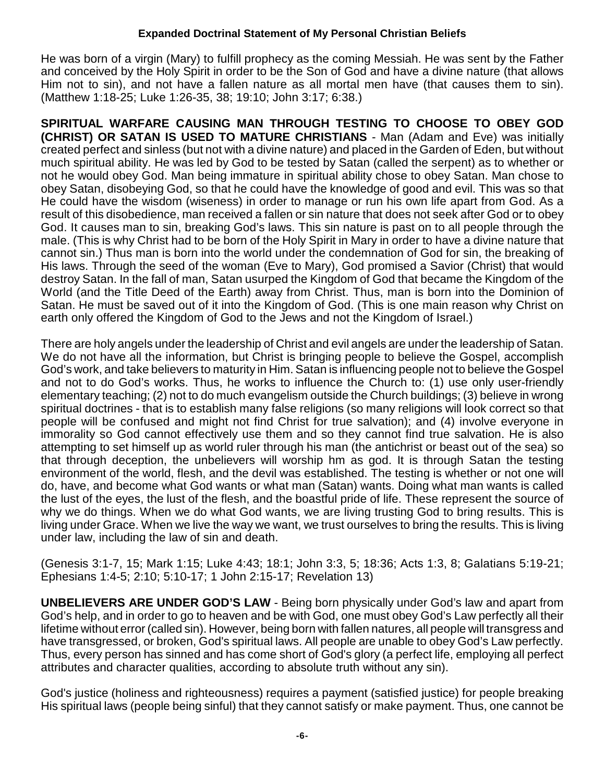He was born of a virgin (Mary) to fulfill prophecy as the coming Messiah. He was sent by the Father and conceived by the Holy Spirit in order to be the Son of God and have a divine nature (that allows Him not to sin), and not have a fallen nature as all mortal men have (that causes them to sin). (Matthew 1:18-25; Luke 1:26-35, 38; 19:10; John 3:17; 6:38.)

**SPIRITUAL WARFARE CAUSING MAN THROUGH TESTING TO CHOOSE TO OBEY GOD (CHRIST) OR SATAN IS USED TO MATURE CHRISTIANS** - Man (Adam and Eve) was initially created perfect and sinless (but not with a divine nature) and placed in the Garden of Eden, but without much spiritual ability. He was led by God to be tested by Satan (called the serpent) as to whether or not he would obey God. Man being immature in spiritual ability chose to obey Satan. Man chose to obey Satan, disobeying God, so that he could have the knowledge of good and evil. This was so that He could have the wisdom (wiseness) in order to manage or run his own life apart from God. As a result of this disobedience, man received a fallen or sin nature that does not seek after God or to obey God. It causes man to sin, breaking God's laws. This sin nature is past on to all people through the male. (This is why Christ had to be born of the Holy Spirit in Mary in order to have a divine nature that cannot sin.) Thus man is born into the world under the condemnation of God for sin, the breaking of His laws. Through the seed of the woman (Eve to Mary), God promised a Savior (Christ) that would destroy Satan. In the fall of man, Satan usurped the Kingdom of God that became the Kingdom of the World (and the Title Deed of the Earth) away from Christ. Thus, man is born into the Dominion of Satan. He must be saved out of it into the Kingdom of God. (This is one main reason why Christ on earth only offered the Kingdom of God to the Jews and not the Kingdom of Israel.)

There are holy angels under the leadership of Christ and evil angels are under the leadership of Satan. We do not have all the information, but Christ is bringing people to believe the Gospel, accomplish God's work, and take believers to maturity in Him. Satan is influencing people not to believe the Gospel and not to do God's works. Thus, he works to influence the Church to: (1) use only user-friendly elementary teaching; (2) not to do much evangelism outside the Church buildings; (3) believe in wrong spiritual doctrines - that is to establish many false religions (so many religions will look correct so that people will be confused and might not find Christ for true salvation); and (4) involve everyone in immorality so God cannot effectively use them and so they cannot find true salvation. He is also attempting to set himself up as world ruler through his man (the antichrist or beast out of the sea) so that through deception, the unbelievers will worship hm as god. It is through Satan the testing environment of the world, flesh, and the devil was established. The testing is whether or not one will do, have, and become what God wants or what man (Satan) wants. Doing what man wants is called the lust of the eyes, the lust of the flesh, and the boastful pride of life. These represent the source of why we do things. When we do what God wants, we are living trusting God to bring results. This is living under Grace. When we live the way we want, we trust ourselves to bring the results. This is living under law, including the law of sin and death.

(Genesis 3:1-7, 15; Mark 1:15; Luke 4:43; 18:1; John 3:3, 5; 18:36; Acts 1:3, 8; Galatians 5:19-21; Ephesians 1:4-5; 2:10; 5:10-17; 1 John 2:15-17; Revelation 13)

**UNBELIEVERS ARE UNDER GOD'S LAW** - Being born physically under God's law and apart from God's help, and in order to go to heaven and be with God, one must obey God's Law perfectly all their lifetime without error (called sin). However, being born with fallen natures, all people will transgress and have transgressed, or broken, God's spiritual laws. All people are unable to obey God's Law perfectly. Thus, every person has sinned and has come short of God's glory (a perfect life, employing all perfect attributes and character qualities, according to absolute truth without any sin).

God's justice (holiness and righteousness) requires a payment (satisfied justice) for people breaking His spiritual laws (people being sinful) that they cannot satisfy or make payment. Thus, one cannot be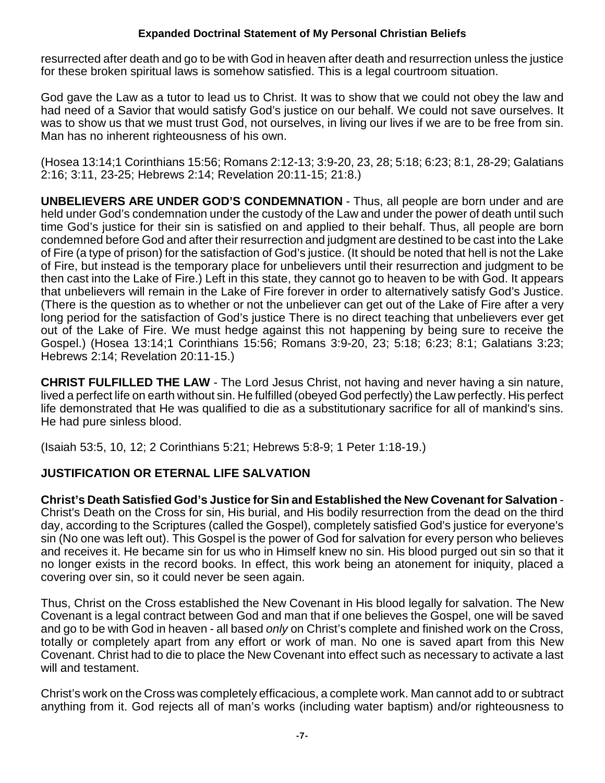resurrected after death and go to be with God in heaven after death and resurrection unless the justice for these broken spiritual laws is somehow satisfied. This is a legal courtroom situation.

God gave the Law as a tutor to lead us to Christ. It was to show that we could not obey the law and had need of a Savior that would satisfy God's justice on our behalf. We could not save ourselves. It was to show us that we must trust God, not ourselves, in living our lives if we are to be free from sin. Man has no inherent righteousness of his own.

(Hosea 13:14;1 Corinthians 15:56; Romans 2:12-13; 3:9-20, 23, 28; 5:18; 6:23; 8:1, 28-29; Galatians 2:16; 3:11, 23-25; Hebrews 2:14; Revelation 20:11-15; 21:8.)

**UNBELIEVERS ARE UNDER GOD'S CONDEMNATION** - Thus, all people are born under and are held under God's condemnation under the custody of the Law and under the power of death until such time God's justice for their sin is satisfied on and applied to their behalf. Thus, all people are born condemned before God and after their resurrection and judgment are destined to be cast into the Lake of Fire (a type of prison) for the satisfaction of God's justice. (It should be noted that hell is not the Lake of Fire, but instead is the temporary place for unbelievers until their resurrection and judgment to be then cast into the Lake of Fire.) Left in this state, they cannot go to heaven to be with God. It appears that unbelievers will remain in the Lake of Fire forever in order to alternatively satisfy God's Justice. (There is the question as to whether or not the unbeliever can get out of the Lake of Fire after a very long period for the satisfaction of God's justice There is no direct teaching that unbelievers ever get out of the Lake of Fire. We must hedge against this not happening by being sure to receive the Gospel.) (Hosea 13:14;1 Corinthians 15:56; Romans 3:9-20, 23; 5:18; 6:23; 8:1; Galatians 3:23; Hebrews 2:14; Revelation 20:11-15.)

**CHRIST FULFILLED THE LAW** - The Lord Jesus Christ, not having and never having a sin nature, lived a perfect life on earth without sin. He fulfilled (obeyed God perfectly) the Law perfectly. His perfect life demonstrated that He was qualified to die as a substitutionary sacrifice for all of mankind's sins. He had pure sinless blood.

(Isaiah 53:5, 10, 12; 2 Corinthians 5:21; Hebrews 5:8-9; 1 Peter 1:18-19.)

## **JUSTIFICATION OR ETERNAL LIFE SALVATION**

**Christ's Death Satisfied God's Justice for Sin and Established the New Covenant for Salvation** - Christ's Death on the Cross for sin, His burial, and His bodily resurrection from the dead on the third day, according to the Scriptures (called the Gospel), completely satisfied God's justice for everyone's sin (No one was left out). This Gospel is the power of God for salvation for every person who believes and receives it. He became sin for us who in Himself knew no sin. His blood purged out sin so that it no longer exists in the record books. In effect, this work being an atonement for iniquity, placed a covering over sin, so it could never be seen again.

Thus, Christ on the Cross established the New Covenant in His blood legally for salvation. The New Covenant is a legal contract between God and man that if one believes the Gospel, one will be saved and go to be with God in heaven - all based *only* on Christ's complete and finished work on the Cross, totally or completely apart from any effort or work of man. No one is saved apart from this New Covenant. Christ had to die to place the New Covenant into effect such as necessary to activate a last will and testament.

Christ's work on the Cross was completely efficacious, a complete work. Man cannot add to or subtract anything from it. God rejects all of man's works (including water baptism) and/or righteousness to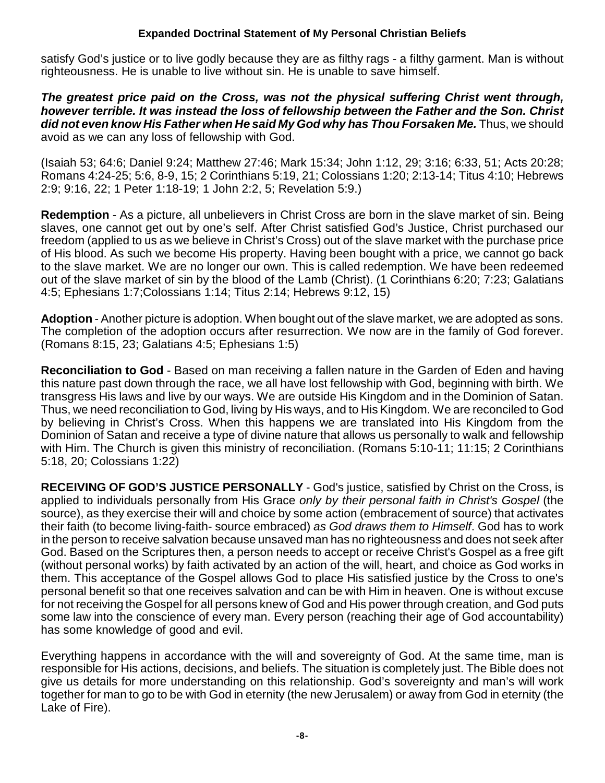satisfy God's justice or to live godly because they are as filthy rags - a filthy garment. Man is without righteousness. He is unable to live without sin. He is unable to save himself.

*The greatest price paid on the Cross, was not the physical suffering Christ went through, however terrible. It was instead the loss of fellowship between the Father and the Son. Christ did not even know His Father when He said My God why has Thou Forsaken Me.* Thus, we should avoid as we can any loss of fellowship with God.

(Isaiah 53; 64:6; Daniel 9:24; Matthew 27:46; Mark 15:34; John 1:12, 29; 3:16; 6:33, 51; Acts 20:28; Romans 4:24-25; 5:6, 8-9, 15; 2 Corinthians 5:19, 21; Colossians 1:20; 2:13-14; Titus 4:10; Hebrews 2:9; 9:16, 22; 1 Peter 1:18-19; 1 John 2:2, 5; Revelation 5:9.)

**Redemption** - As a picture, all unbelievers in Christ Cross are born in the slave market of sin. Being slaves, one cannot get out by one's self. After Christ satisfied God's Justice, Christ purchased our freedom (applied to us as we believe in Christ's Cross) out of the slave market with the purchase price of His blood. As such we become His property. Having been bought with a price, we cannot go back to the slave market. We are no longer our own. This is called redemption. We have been redeemed out of the slave market of sin by the blood of the Lamb (Christ). (1 Corinthians 6:20; 7:23; Galatians 4:5; Ephesians 1:7;Colossians 1:14; Titus 2:14; Hebrews 9:12, 15)

**Adoption** - Another picture is adoption. When bought out of the slave market, we are adopted as sons. The completion of the adoption occurs after resurrection. We now are in the family of God forever. (Romans 8:15, 23; Galatians 4:5; Ephesians 1:5)

**Reconciliation to God** - Based on man receiving a fallen nature in the Garden of Eden and having this nature past down through the race, we all have lost fellowship with God, beginning with birth. We transgress His laws and live by our ways. We are outside His Kingdom and in the Dominion of Satan. Thus, we need reconciliation to God, living by His ways, and to His Kingdom. We are reconciled to God by believing in Christ's Cross. When this happens we are translated into His Kingdom from the Dominion of Satan and receive a type of divine nature that allows us personally to walk and fellowship with Him. The Church is given this ministry of reconciliation. (Romans 5:10-11; 11:15; 2 Corinthians 5:18, 20; Colossians 1:22)

**RECEIVING OF GOD'S JUSTICE PERSONALLY** - God's justice, satisfied by Christ on the Cross, is applied to individuals personally from His Grace *only by their personal faith in Christ's Gospel* (the source), as they exercise their will and choice by some action (embracement of source) that activates their faith (to become living-faith- source embraced) *as God draws them to Himself*. God has to work in the person to receive salvation because unsaved man has no righteousness and does not seek after God. Based on the Scriptures then, a person needs to accept or receive Christ's Gospel as a free gift (without personal works) by faith activated by an action of the will, heart, and choice as God works in them. This acceptance of the Gospel allows God to place His satisfied justice by the Cross to one's personal benefit so that one receives salvation and can be with Him in heaven. One is without excuse for not receiving the Gospel for all persons knew of God and His power through creation, and God puts some law into the conscience of every man. Every person (reaching their age of God accountability) has some knowledge of good and evil.

Everything happens in accordance with the will and sovereignty of God. At the same time, man is responsible for His actions, decisions, and beliefs. The situation is completely just. The Bible does not give us details for more understanding on this relationship. God's sovereignty and man's will work together for man to go to be with God in eternity (the new Jerusalem) or away from God in eternity (the Lake of Fire).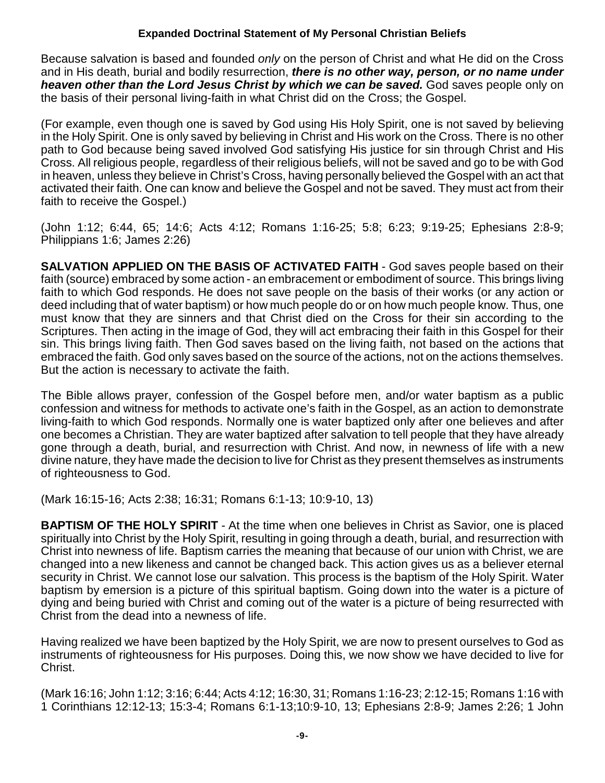Because salvation is based and founded *only* on the person of Christ and what He did on the Cross and in His death, burial and bodily resurrection, *there is no other way, person, or no name under heaven other than the Lord Jesus Christ by which we can be saved.* God saves people only on the basis of their personal living-faith in what Christ did on the Cross; the Gospel.

(For example, even though one is saved by God using His Holy Spirit, one is not saved by believing in the Holy Spirit. One is only saved by believing in Christ and His work on the Cross. There is no other path to God because being saved involved God satisfying His justice for sin through Christ and His Cross. All religious people, regardless of their religious beliefs, will not be saved and go to be with God in heaven, unless they believe in Christ's Cross, having personally believed the Gospel with an act that activated their faith. One can know and believe the Gospel and not be saved. They must act from their faith to receive the Gospel.)

(John 1:12; 6:44, 65; 14:6; Acts 4:12; Romans 1:16-25; 5:8; 6:23; 9:19-25; Ephesians 2:8-9; Philippians 1:6; James 2:26)

**SALVATION APPLIED ON THE BASIS OF ACTIVATED FAITH** - God saves people based on their faith (source) embraced by some action - an embracement or embodiment of source. This brings living faith to which God responds. He does not save people on the basis of their works (or any action or deed including that of water baptism) or how much people do or on how much people know. Thus, one must know that they are sinners and that Christ died on the Cross for their sin according to the Scriptures. Then acting in the image of God, they will act embracing their faith in this Gospel for their sin. This brings living faith. Then God saves based on the living faith, not based on the actions that embraced the faith. God only saves based on the source of the actions, not on the actions themselves. But the action is necessary to activate the faith.

The Bible allows prayer, confession of the Gospel before men, and/or water baptism as a public confession and witness for methods to activate one's faith in the Gospel, as an action to demonstrate living-faith to which God responds. Normally one is water baptized only after one believes and after one becomes a Christian. They are water baptized after salvation to tell people that they have already gone through a death, burial, and resurrection with Christ. And now, in newness of life with a new divine nature, they have made the decision to live for Christ as they present themselves as instruments of righteousness to God.

(Mark 16:15-16; Acts 2:38; 16:31; Romans 6:1-13; 10:9-10, 13)

**BAPTISM OF THE HOLY SPIRIT** - At the time when one believes in Christ as Savior, one is placed spiritually into Christ by the Holy Spirit, resulting in going through a death, burial, and resurrection with Christ into newness of life. Baptism carries the meaning that because of our union with Christ, we are changed into a new likeness and cannot be changed back. This action gives us as a believer eternal security in Christ. We cannot lose our salvation. This process is the baptism of the Holy Spirit. Water baptism by emersion is a picture of this spiritual baptism. Going down into the water is a picture of dying and being buried with Christ and coming out of the water is a picture of being resurrected with Christ from the dead into a newness of life.

Having realized we have been baptized by the Holy Spirit, we are now to present ourselves to God as instruments of righteousness for His purposes. Doing this, we now show we have decided to live for Christ.

(Mark 16:16; John 1:12; 3:16; 6:44; Acts 4:12; 16:30, 31; Romans 1:16-23; 2:12-15; Romans 1:16 with 1 Corinthians 12:12-13; 15:3-4; Romans 6:1-13;10:9-10, 13; Ephesians 2:8-9; James 2:26; 1 John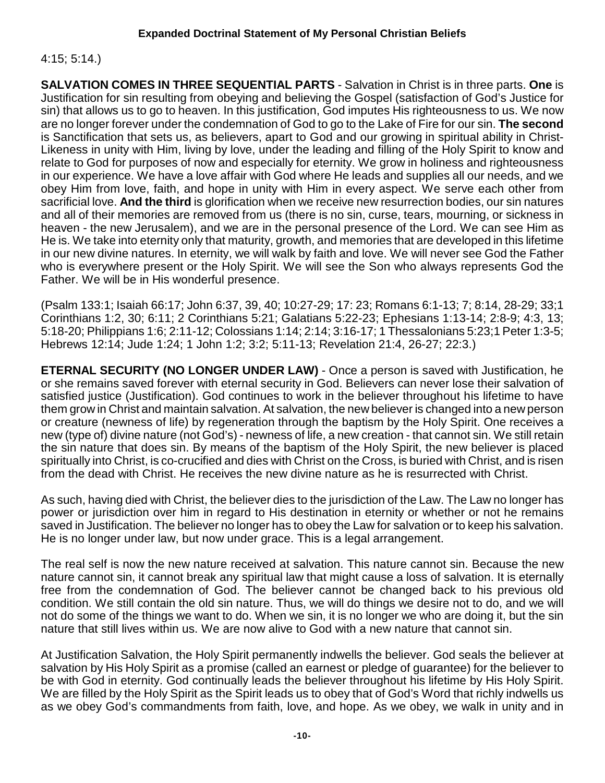## 4:15; 5:14.)

**SALVATION COMES IN THREE SEQUENTIAL PARTS** - Salvation in Christ is in three parts. **One** is Justification for sin resulting from obeying and believing the Gospel (satisfaction of God's Justice for sin) that allows us to go to heaven. In this justification, God imputes His righteousness to us. We now are no longer forever under the condemnation of God to go to the Lake of Fire for our sin. **The second** is Sanctification that sets us, as believers, apart to God and our growing in spiritual ability in Christ-Likeness in unity with Him, living by love, under the leading and filling of the Holy Spirit to know and relate to God for purposes of now and especially for eternity. We grow in holiness and righteousness in our experience. We have a love affair with God where He leads and supplies all our needs, and we obey Him from love, faith, and hope in unity with Him in every aspect. We serve each other from sacrificial love. **And the third** is glorification when we receive new resurrection bodies, our sin natures and all of their memories are removed from us (there is no sin, curse, tears, mourning, or sickness in heaven - the new Jerusalem), and we are in the personal presence of the Lord. We can see Him as He is. We take into eternity only that maturity, growth, and memories that are developed in this lifetime in our new divine natures. In eternity, we will walk by faith and love. We will never see God the Father who is everywhere present or the Holy Spirit. We will see the Son who always represents God the Father. We will be in His wonderful presence.

(Psalm 133:1; Isaiah 66:17; John 6:37, 39, 40; 10:27-29; 17: 23; Romans 6:1-13; 7; 8:14, 28-29; 33;1 Corinthians 1:2, 30; 6:11; 2 Corinthians 5:21; Galatians 5:22-23; Ephesians 1:13-14; 2:8-9; 4:3, 13; 5:18-20; Philippians 1:6; 2:11-12; Colossians 1:14; 2:14; 3:16-17; 1 Thessalonians 5:23;1 Peter 1:3-5; Hebrews 12:14; Jude 1:24; 1 John 1:2; 3:2; 5:11-13; Revelation 21:4, 26-27; 22:3.)

**ETERNAL SECURITY (NO LONGER UNDER LAW)** - Once a person is saved with Justification, he or she remains saved forever with eternal security in God. Believers can never lose their salvation of satisfied iustice (Justification). God continues to work in the believer throughout his lifetime to have them grow in Christ and maintain salvation. At salvation, the new believer is changed into a new person or creature (newness of life) by regeneration through the baptism by the Holy Spirit. One receives a new (type of) divine nature (not God's) - newness of life, a new creation - that cannot sin. We still retain the sin nature that does sin. By means of the baptism of the Holy Spirit, the new believer is placed spiritually into Christ, is co-crucified and dies with Christ on the Cross, is buried with Christ, and is risen from the dead with Christ. He receives the new divine nature as he is resurrected with Christ.

As such, having died with Christ, the believer dies to the jurisdiction of the Law. The Law no longer has power or jurisdiction over him in regard to His destination in eternity or whether or not he remains saved in Justification. The believer no longer has to obey the Law for salvation or to keep his salvation. He is no longer under law, but now under grace. This is a legal arrangement.

The real self is now the new nature received at salvation. This nature cannot sin. Because the new nature cannot sin, it cannot break any spiritual law that might cause a loss of salvation. It is eternally free from the condemnation of God. The believer cannot be changed back to his previous old condition. We still contain the old sin nature. Thus, we will do things we desire not to do, and we will not do some of the things we want to do. When we sin, it is no longer we who are doing it, but the sin nature that still lives within us. We are now alive to God with a new nature that cannot sin.

At Justification Salvation, the Holy Spirit permanently indwells the believer. God seals the believer at salvation by His Holy Spirit as a promise (called an earnest or pledge of guarantee) for the believer to be with God in eternity. God continually leads the believer throughout his lifetime by His Holy Spirit. We are filled by the Holy Spirit as the Spirit leads us to obey that of God's Word that richly indwells us as we obey God's commandments from faith, love, and hope. As we obey, we walk in unity and in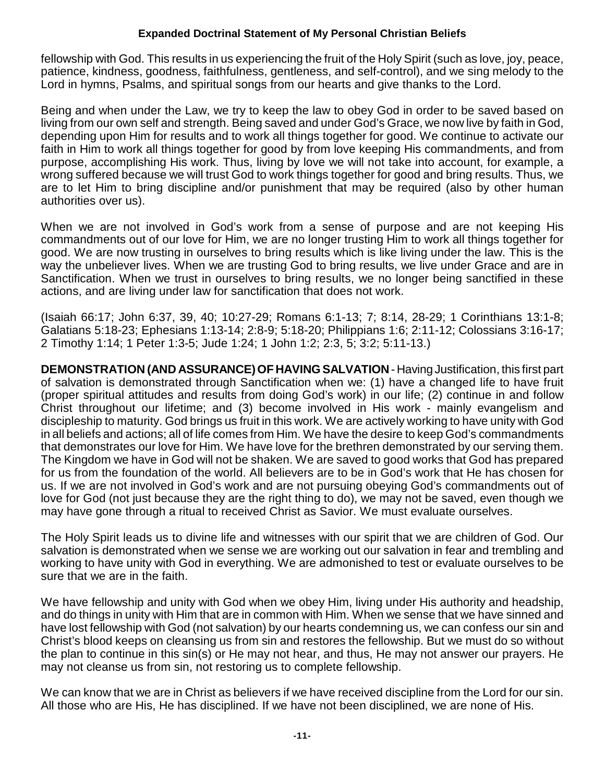fellowship with God. This results in us experiencing the fruit of the Holy Spirit (such as love, joy, peace, patience, kindness, goodness, faithfulness, gentleness, and self-control), and we sing melody to the Lord in hymns, Psalms, and spiritual songs from our hearts and give thanks to the Lord.

Being and when under the Law, we try to keep the law to obey God in order to be saved based on living from our own self and strength. Being saved and under God's Grace, we now live by faith in God, depending upon Him for results and to work all things together for good. We continue to activate our faith in Him to work all things together for good by from love keeping His commandments, and from purpose, accomplishing His work. Thus, living by love we will not take into account, for example, a wrong suffered because we will trust God to work things together for good and bring results. Thus, we are to let Him to bring discipline and/or punishment that may be required (also by other human authorities over us).

When we are not involved in God's work from a sense of purpose and are not keeping His commandments out of our love for Him, we are no longer trusting Him to work all things together for good. We are now trusting in ourselves to bring results which is like living under the law. This is the way the unbeliever lives. When we are trusting God to bring results, we live under Grace and are in Sanctification. When we trust in ourselves to bring results, we no longer being sanctified in these actions, and are living under law for sanctification that does not work.

(Isaiah 66:17; John 6:37, 39, 40; 10:27-29; Romans 6:1-13; 7; 8:14, 28-29; 1 Corinthians 13:1-8; Galatians 5:18-23; Ephesians 1:13-14; 2:8-9; 5:18-20; Philippians 1:6; 2:11-12; Colossians 3:16-17; 2 Timothy 1:14; 1 Peter 1:3-5; Jude 1:24; 1 John 1:2; 2:3, 5; 3:2; 5:11-13.)

**DEMONSTRATION (AND ASSURANCE) OF HAVING SALVATION** - Having Justification, this first part of salvation is demonstrated through Sanctification when we: (1) have a changed life to have fruit (proper spiritual attitudes and results from doing God's work) in our life; (2) continue in and follow Christ throughout our lifetime; and (3) become involved in His work - mainly evangelism and discipleship to maturity. God brings us fruit in this work. We are actively working to have unity with God in all beliefs and actions; all of life comes from Him. We have the desire to keep God's commandments that demonstrates our love for Him. We have love for the brethren demonstrated by our serving them. The Kingdom we have in God will not be shaken. We are saved to good works that God has prepared for us from the foundation of the world. All believers are to be in God's work that He has chosen for us. If we are not involved in God's work and are not pursuing obeying God's commandments out of love for God (not just because they are the right thing to do), we may not be saved, even though we may have gone through a ritual to received Christ as Savior. We must evaluate ourselves.

The Holy Spirit leads us to divine life and witnesses with our spirit that we are children of God. Our salvation is demonstrated when we sense we are working out our salvation in fear and trembling and working to have unity with God in everything. We are admonished to test or evaluate ourselves to be sure that we are in the faith.

We have fellowship and unity with God when we obey Him, living under His authority and headship, and do things in unity with Him that are in common with Him. When we sense that we have sinned and have lost fellowship with God (not salvation) by our hearts condemning us, we can confess our sin and Christ's blood keeps on cleansing us from sin and restores the fellowship. But we must do so without the plan to continue in this sin(s) or He may not hear, and thus, He may not answer our prayers. He may not cleanse us from sin, not restoring us to complete fellowship.

We can know that we are in Christ as believers if we have received discipline from the Lord for our sin. All those who are His, He has disciplined. If we have not been disciplined, we are none of His.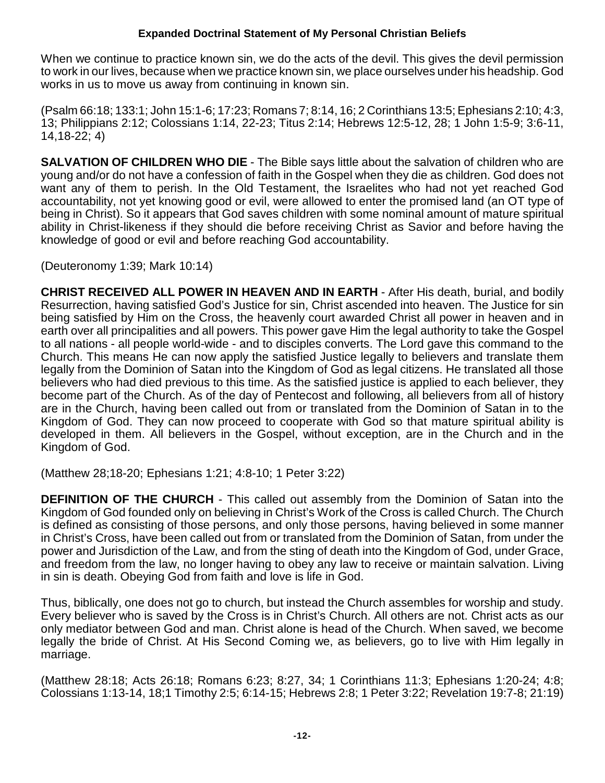When we continue to practice known sin, we do the acts of the devil. This gives the devil permission to work in our lives, because when we practice known sin, we place ourselves under his headship. God works in us to move us away from continuing in known sin.

(Psalm 66:18; 133:1; John 15:1-6; 17:23; Romans 7; 8:14, 16; 2 Corinthians 13:5; Ephesians 2:10; 4:3, 13; Philippians 2:12; Colossians 1:14, 22-23; Titus 2:14; Hebrews 12:5-12, 28; 1 John 1:5-9; 3:6-11, 14,18-22; 4)

**SALVATION OF CHILDREN WHO DIE** - The Bible says little about the salvation of children who are young and/or do not have a confession of faith in the Gospel when they die as children. God does not want any of them to perish. In the Old Testament, the Israelites who had not yet reached God accountability, not yet knowing good or evil, were allowed to enter the promised land (an OT type of being in Christ). So it appears that God saves children with some nominal amount of mature spiritual ability in Christ-likeness if they should die before receiving Christ as Savior and before having the knowledge of good or evil and before reaching God accountability.

(Deuteronomy 1:39; Mark 10:14)

**CHRIST RECEIVED ALL POWER IN HEAVEN AND IN EARTH** - After His death, burial, and bodily Resurrection, having satisfied God's Justice for sin, Christ ascended into heaven. The Justice for sin being satisfied by Him on the Cross, the heavenly court awarded Christ all power in heaven and in earth over all principalities and all powers. This power gave Him the legal authority to take the Gospel to all nations - all people world-wide - and to disciples converts. The Lord gave this command to the Church. This means He can now apply the satisfied Justice legally to believers and translate them legally from the Dominion of Satan into the Kingdom of God as legal citizens. He translated all those believers who had died previous to this time. As the satisfied justice is applied to each believer, they become part of the Church. As of the day of Pentecost and following, all believers from all of history are in the Church, having been called out from or translated from the Dominion of Satan in to the Kingdom of God. They can now proceed to cooperate with God so that mature spiritual ability is developed in them. All believers in the Gospel, without exception, are in the Church and in the Kingdom of God.

(Matthew 28;18-20; Ephesians 1:21; 4:8-10; 1 Peter 3:22)

**DEFINITION OF THE CHURCH** - This called out assembly from the Dominion of Satan into the Kingdom of God founded only on believing in Christ's Work of the Cross is called Church. The Church is defined as consisting of those persons, and only those persons, having believed in some manner in Christ's Cross, have been called out from or translated from the Dominion of Satan, from under the power and Jurisdiction of the Law, and from the sting of death into the Kingdom of God, under Grace, and freedom from the law, no longer having to obey any law to receive or maintain salvation. Living in sin is death. Obeying God from faith and love is life in God.

Thus, biblically, one does not go to church, but instead the Church assembles for worship and study. Every believer who is saved by the Cross is in Christ's Church. All others are not. Christ acts as our only mediator between God and man. Christ alone is head of the Church. When saved, we become legally the bride of Christ. At His Second Coming we, as believers, go to live with Him legally in marriage.

(Matthew 28:18; Acts 26:18; Romans 6:23; 8:27, 34; 1 Corinthians 11:3; Ephesians 1:20-24; 4:8; Colossians 1:13-14, 18;1 Timothy 2:5; 6:14-15; Hebrews 2:8; 1 Peter 3:22; Revelation 19:7-8; 21:19)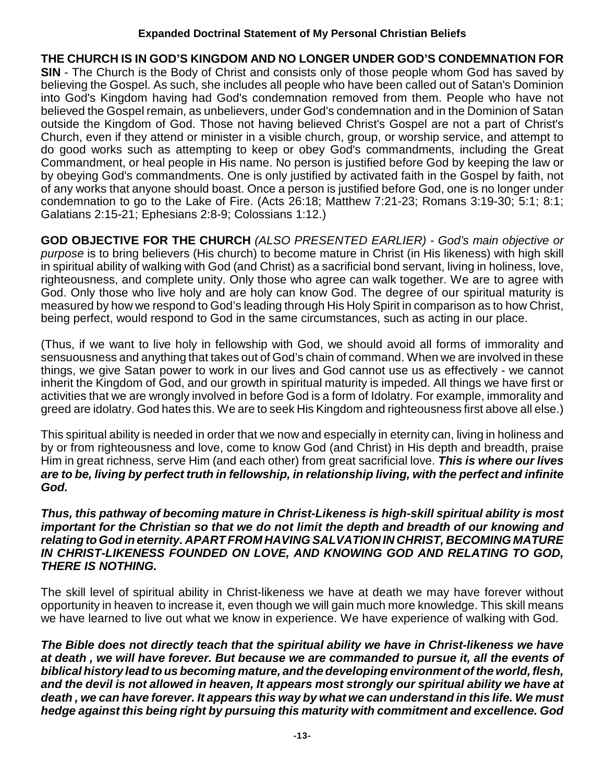**THE CHURCH IS IN GOD'S KINGDOM AND NO LONGER UNDER GOD'S CONDEMNATION FOR SIN** - The Church is the Body of Christ and consists only of those people whom God has saved by believing the Gospel. As such, she includes all people who have been called out of Satan's Dominion into God's Kingdom having had God's condemnation removed from them. People who have not believed the Gospel remain, as unbelievers, under God's condemnation and in the Dominion of Satan outside the Kingdom of God. Those not having believed Christ's Gospel are not a part of Christ's Church, even if they attend or minister in a visible church, group, or worship service, and attempt to do good works such as attempting to keep or obey God's commandments, including the Great Commandment, or heal people in His name. No person is justified before God by keeping the law or by obeying God's commandments. One is only justified by activated faith in the Gospel by faith, not of any works that anyone should boast. Once a person is justified before God, one is no longer under condemnation to go to the Lake of Fire. (Acts 26:18; Matthew 7:21-23; Romans 3:19-30; 5:1; 8:1; Galatians 2:15-21; Ephesians 2:8-9; Colossians 1:12.)

**GOD OBJECTIVE FOR THE CHURCH** *(ALSO PRESENTED EARLIER) - God's main objective or purpose* is to bring believers (His church) to become mature in Christ (in His likeness) with high skill in spiritual ability of walking with God (and Christ) as a sacrificial bond servant, living in holiness, love, righteousness, and complete unity. Only those who agree can walk together. We are to agree with God. Only those who live holy and are holy can know God. The degree of our spiritual maturity is measured by how we respond to God's leading through His Holy Spirit in comparison as to how Christ, being perfect, would respond to God in the same circumstances, such as acting in our place.

(Thus, if we want to live holy in fellowship with God, we should avoid all forms of immorality and sensuousness and anything that takes out of God's chain of command. When we are involved in these things, we give Satan power to work in our lives and God cannot use us as effectively - we cannot inherit the Kingdom of God, and our growth in spiritual maturity is impeded. All things we have first or activities that we are wrongly involved in before God is a form of Idolatry. For example, immorality and greed are idolatry. God hates this. We are to seek His Kingdom and righteousness first above all else.)

This spiritual ability is needed in order that we now and especially in eternity can, living in holiness and by or from righteousness and love, come to know God (and Christ) in His depth and breadth, praise Him in great richness, serve Him (and each other) from great sacrificial love. *This is where our lives are to be, living by perfect truth in fellowship, in relationship living, with the perfect and infinite God.*

#### *Thus, this pathway of becoming mature in Christ-Likeness is high-skill spiritual ability is most important for the Christian so that we do not limit the depth and breadth of our knowing and relating to God in eternity. APART FROM HAVING SALVATION IN CHRIST, BECOMING MATURE IN CHRIST-LIKENESS FOUNDED ON LOVE, AND KNOWING GOD AND RELATING TO GOD, THERE IS NOTHING.*

The skill level of spiritual ability in Christ-likeness we have at death we may have forever without opportunity in heaven to increase it, even though we will gain much more knowledge. This skill means we have learned to live out what we know in experience. We have experience of walking with God.

*The Bible does not directly teach that the spiritual ability we have in Christ-likeness we have at death , we will have forever. But because we are commanded to pursue it, all the events of biblical history lead to us becoming mature, and the developing environment of the world, flesh, and the devil is not allowed in heaven, It appears most strongly our spiritual ability we have at death , we can have forever. It appears this way by what we can understand in this life. We must hedge against this being right by pursuing this maturity with commitment and excellence. God*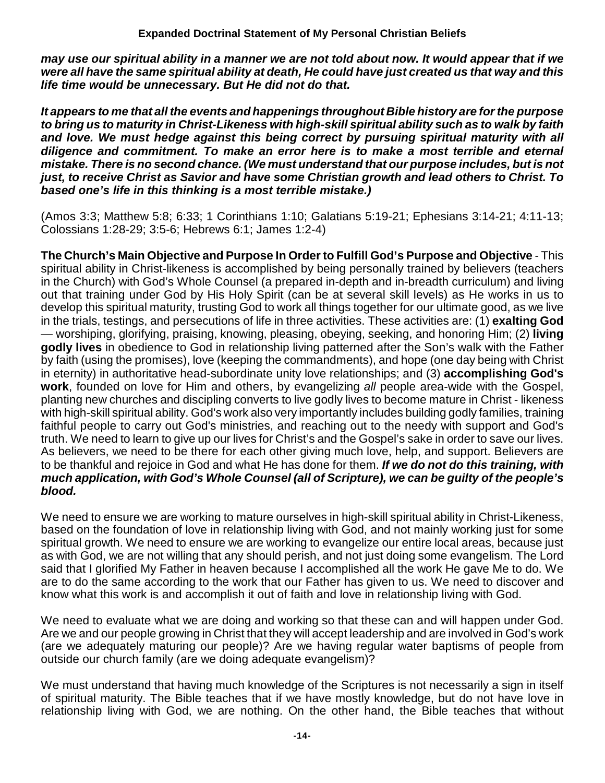*may use our spiritual ability in a manner we are not told about now. It would appear that if we were all have the same spiritual ability at death, He could have just created us that way and this life time would be unnecessary. But He did not do that.* 

*It appears to me that all the events and happenings throughout Bible history are for the purpose to bring us to maturity in Christ-Likeness with high-skill spiritual ability such as to walk by faith and love. We must hedge against this being correct by pursuing spiritual maturity with all diligence and commitment. To make an error here is to make a most terrible and eternal mistake. There is no second chance. (We must understand that our purpose includes, but is not just, to receive Christ as Savior and have some Christian growth and lead others to Christ. To based one's life in this thinking is a most terrible mistake.)*

(Amos 3:3; Matthew 5:8; 6:33; 1 Corinthians 1:10; Galatians 5:19-21; Ephesians 3:14-21; 4:11-13; Colossians 1:28-29; 3:5-6; Hebrews 6:1; James 1:2-4)

**The Church's Main Objective and Purpose In Order to Fulfill God's Purpose and Objective** - This spiritual ability in Christ-likeness is accomplished by being personally trained by believers (teachers in the Church) with God's Whole Counsel (a prepared in-depth and in-breadth curriculum) and living out that training under God by His Holy Spirit (can be at several skill levels) as He works in us to develop this spiritual maturity, trusting God to work all things together for our ultimate good, as we live in the trials, testings, and persecutions of life in three activities. These activities are: (1) **exalting God** — worshiping, glorifying, praising, knowing, pleasing, obeying, seeking, and honoring Him; (2) **living godly lives** in obedience to God in relationship living patterned after the Son's walk with the Father by faith (using the promises), love (keeping the commandments), and hope (one day being with Christ in eternity) in authoritative head-subordinate unity love relationships; and (3) **accomplishing God's work**, founded on love for Him and others, by evangelizing *all* people area-wide with the Gospel, planting new churches and discipling converts to live godly lives to become mature in Christ - likeness with high-skill spiritual ability. God's work also very importantly includes building godly families, training faithful people to carry out God's ministries, and reaching out to the needy with support and God's truth. We need to learn to give up our lives for Christ's and the Gospel's sake in order to save our lives. As believers, we need to be there for each other giving much love, help, and support. Believers are to be thankful and rejoice in God and what He has done for them. *If we do not do this training, with much application, with God's Whole Counsel (all of Scripture), we can be guilty of the people's blood.*

We need to ensure we are working to mature ourselves in high-skill spiritual ability in Christ-Likeness, based on the foundation of love in relationship living with God, and not mainly working just for some spiritual growth. We need to ensure we are working to evangelize our entire local areas, because just as with God, we are not willing that any should perish, and not just doing some evangelism. The Lord said that I glorified My Father in heaven because I accomplished all the work He gave Me to do. We are to do the same according to the work that our Father has given to us. We need to discover and know what this work is and accomplish it out of faith and love in relationship living with God.

We need to evaluate what we are doing and working so that these can and will happen under God. Are we and our people growing in Christ that they will accept leadership and are involved in God's work (are we adequately maturing our people)? Are we having regular water baptisms of people from outside our church family (are we doing adequate evangelism)?

We must understand that having much knowledge of the Scriptures is not necessarily a sign in itself of spiritual maturity. The Bible teaches that if we have mostly knowledge, but do not have love in relationship living with God, we are nothing. On the other hand, the Bible teaches that without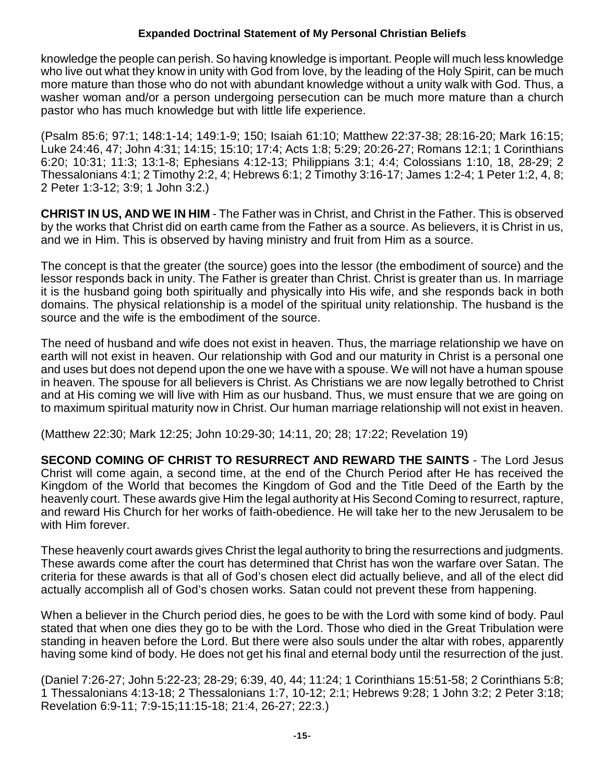knowledge the people can perish. So having knowledge is important. People will much less knowledge who live out what they know in unity with God from love, by the leading of the Holy Spirit, can be much more mature than those who do not with abundant knowledge without a unity walk with God. Thus, a washer woman and/or a person undergoing persecution can be much more mature than a church pastor who has much knowledge but with little life experience.

(Psalm 85:6; 97:1; 148:1-14; 149:1-9; 150; Isaiah 61:10; Matthew 22:37-38; 28:16-20; Mark 16:15; Luke 24:46, 47; John 4:31; 14:15; 15:10; 17:4; Acts 1:8; 5:29; 20:26-27; Romans 12:1; 1 Corinthians 6:20; 10:31; 11:3; 13:1-8; Ephesians 4:12-13; Philippians 3:1; 4:4; Colossians 1:10, 18, 28-29; 2 Thessalonians 4:1; 2 Timothy 2:2, 4; Hebrews 6:1; 2 Timothy 3:16-17; James 1:2-4; 1 Peter 1:2, 4, 8; 2 Peter 1:3-12; 3:9; 1 John 3:2.)

**CHRIST IN US, AND WE IN HIM** - The Father was in Christ, and Christ in the Father. This is observed by the works that Christ did on earth came from the Father as a source. As believers, it is Christ in us, and we in Him. This is observed by having ministry and fruit from Him as a source.

The concept is that the greater (the source) goes into the lessor (the embodiment of source) and the lessor responds back in unity. The Father is greater than Christ. Christ is greater than us. In marriage it is the husband going both spiritually and physically into His wife, and she responds back in both domains. The physical relationship is a model of the spiritual unity relationship. The husband is the source and the wife is the embodiment of the source.

The need of husband and wife does not exist in heaven. Thus, the marriage relationship we have on earth will not exist in heaven. Our relationship with God and our maturity in Christ is a personal one and uses but does not depend upon the one we have with a spouse. We will not have a human spouse in heaven. The spouse for all believers is Christ. As Christians we are now legally betrothed to Christ and at His coming we will live with Him as our husband. Thus, we must ensure that we are going on to maximum spiritual maturity now in Christ. Our human marriage relationship will not exist in heaven.

(Matthew 22:30; Mark 12:25; John 10:29-30; 14:11, 20; 28; 17:22; Revelation 19)

**SECOND COMING OF CHRIST TO RESURRECT AND REWARD THE SAINTS** - The Lord Jesus Christ will come again, a second time, at the end of the Church Period after He has received the Kingdom of the World that becomes the Kingdom of God and the Title Deed of the Earth by the heavenly court. These awards give Him the legal authority at His Second Coming to resurrect, rapture, and reward His Church for her works of faith-obedience. He will take her to the new Jerusalem to be with Him forever.

These heavenly court awards gives Christ the legal authority to bring the resurrections and judgments. These awards come after the court has determined that Christ has won the warfare over Satan. The criteria for these awards is that all of God's chosen elect did actually believe, and all of the elect did actually accomplish all of God's chosen works. Satan could not prevent these from happening.

When a believer in the Church period dies, he goes to be with the Lord with some kind of body. Paul stated that when one dies they go to be with the Lord. Those who died in the Great Tribulation were standing in heaven before the Lord. But there were also souls under the altar with robes, apparently having some kind of body. He does not get his final and eternal body until the resurrection of the just.

(Daniel 7:26-27; John 5:22-23; 28-29; 6:39, 40, 44; 11:24; 1 Corinthians 15:51-58; 2 Corinthians 5:8; 1 Thessalonians 4:13-18; 2 Thessalonians 1:7, 10-12; 2:1; Hebrews 9:28; 1 John 3:2; 2 Peter 3:18; Revelation 6:9-11; 7:9-15;11:15-18; 21:4, 26-27; 22:3.)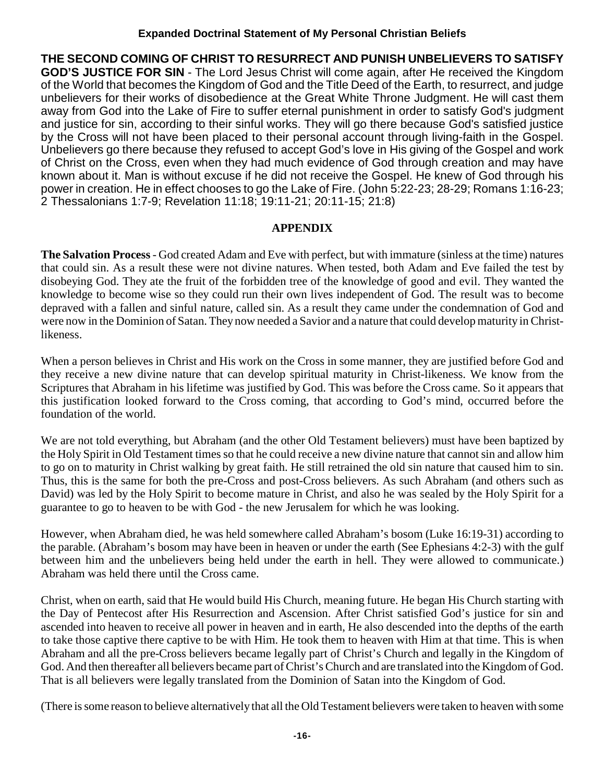**THE SECOND COMING OF CHRIST TO RESURRECT AND PUNISH UNBELIEVERS TO SATISFY GOD'S JUSTICE FOR SIN** - The Lord Jesus Christ will come again, after He received the Kingdom of the World that becomes the Kingdom of God and the Title Deed of the Earth, to resurrect, and judge unbelievers for their works of disobedience at the Great White Throne Judgment. He will cast them away from God into the Lake of Fire to suffer eternal punishment in order to satisfy God's judgment and justice for sin, according to their sinful works. They will go there because God's satisfied justice by the Cross will not have been placed to their personal account through living-faith in the Gospel. Unbelievers go there because they refused to accept God's love in His giving of the Gospel and work of Christ on the Cross, even when they had much evidence of God through creation and may have known about it. Man is without excuse if he did not receive the Gospel. He knew of God through his power in creation. He in effect chooses to go the Lake of Fire. (John 5:22-23; 28-29; Romans 1:16-23; 2 Thessalonians 1:7-9; Revelation 11:18; 19:11-21; 20:11-15; 21:8)

#### **APPENDIX**

**The Salvation Process** - God created Adam and Eve with perfect, but with immature (sinless at the time) natures that could sin. As a result these were not divine natures. When tested, both Adam and Eve failed the test by disobeying God. They ate the fruit of the forbidden tree of the knowledge of good and evil. They wanted the knowledge to become wise so they could run their own lives independent of God. The result was to become depraved with a fallen and sinful nature, called sin. As a result they came under the condemnation of God and were now in the Dominion of Satan. They now needed a Savior and a nature that could develop maturity in Christlikeness.

When a person believes in Christ and His work on the Cross in some manner, they are justified before God and they receive a new divine nature that can develop spiritual maturity in Christ-likeness. We know from the Scriptures that Abraham in his lifetime was justified by God. This was before the Cross came. So it appears that this justification looked forward to the Cross coming, that according to God's mind, occurred before the foundation of the world.

We are not told everything, but Abraham (and the other Old Testament believers) must have been baptized by the Holy Spirit in Old Testament times so that he could receive a new divine nature that cannot sin and allow him to go on to maturity in Christ walking by great faith. He still retrained the old sin nature that caused him to sin. Thus, this is the same for both the pre-Cross and post-Cross believers. As such Abraham (and others such as David) was led by the Holy Spirit to become mature in Christ, and also he was sealed by the Holy Spirit for a guarantee to go to heaven to be with God - the new Jerusalem for which he was looking.

However, when Abraham died, he was held somewhere called Abraham's bosom (Luke 16:19-31) according to the parable. (Abraham's bosom may have been in heaven or under the earth (See Ephesians 4:2-3) with the gulf between him and the unbelievers being held under the earth in hell. They were allowed to communicate.) Abraham was held there until the Cross came.

Christ, when on earth, said that He would build His Church, meaning future. He began His Church starting with the Day of Pentecost after His Resurrection and Ascension. After Christ satisfied God's justice for sin and ascended into heaven to receive all power in heaven and in earth, He also descended into the depths of the earth to take those captive there captive to be with Him. He took them to heaven with Him at that time. This is when Abraham and all the pre-Cross believers became legally part of Christ's Church and legally in the Kingdom of God. And then thereafter all believers became part of Christ's Church and are translated into the Kingdom of God. That is all believers were legally translated from the Dominion of Satan into the Kingdom of God.

(There is some reason to believe alternatively that all the Old Testament believers were taken to heaven with some